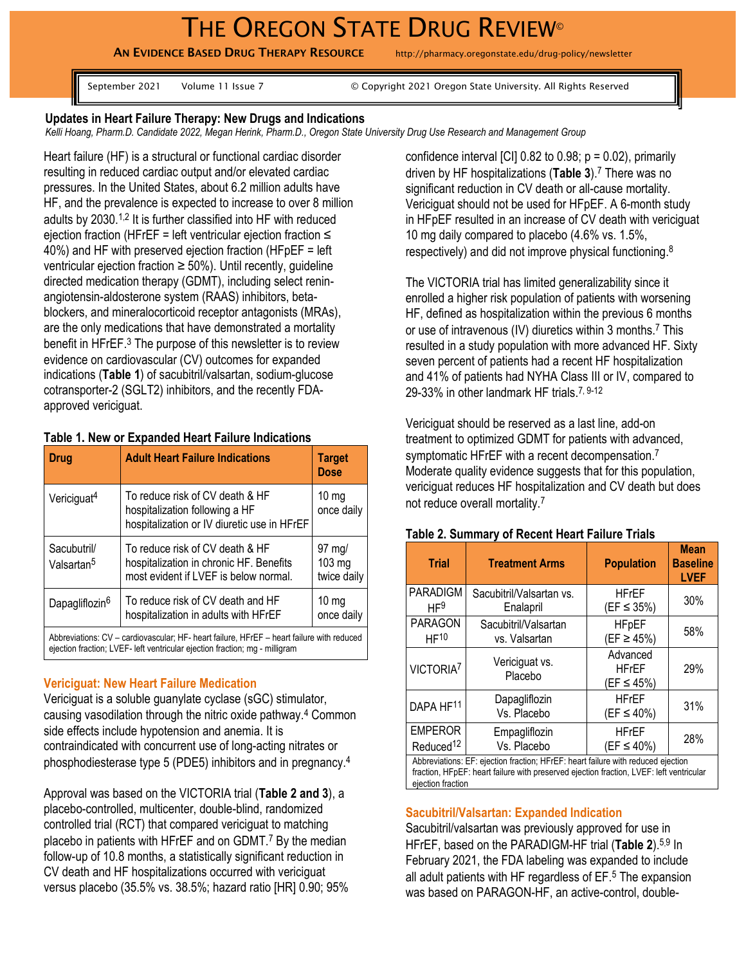# THE OREGON STATE DRUG REVIEW<sup>®</sup>

AN EVIDENCE BASED DRUG THERAPY RESOURCE http://pharmacy.oregonstate.edu/drug-policy/newsletter

September 2021 Volume 11 Issue 7 © Copyright 2021 Oregon State University. All Rights Reserved

#### **Updates in Heart Failure Therapy: New Drugs and Indications**

*Kelli Hoang, Pharm.D. Candidate 2022, Megan Herink, Pharm.D., Oregon State University Drug Use Research and Management Group*

Heart failure (HF) is a structural or functional cardiac disorder resulting in reduced cardiac output and/or elevated cardiac pressures. In the United States, about 6.2 million adults have HF, and the prevalence is expected to increase to over 8 million adults by 2030.<sup>[1](#page-2-0),[2](#page-2-1)</sup> It is further classified into HF with reduced ejection fraction (HFrEF = left ventricular ejection fraction ≤ 40%) and HF with preserved ejection fraction (HFpEF = left ventricular ejection fraction  $\geq 50\%$ ). Until recently, guideline directed medication therapy (GDMT), including select reninangiotensin-aldosterone system (RAAS) inhibitors, betablockers, and mineralocorticoid receptor antagonists (MRAs), are the only medications that have demonstrated a mortality benefit in HFrEF.<sup>[3](#page-2-2)</sup> The purpose of this newsletter is to review evidence on cardiovascular (CV) outcomes for expanded indications (**Table 1**) of sacubitril/valsartan, sodium-glucose cotransporter-2 (SGLT2) inhibitors, and the recently FDAapproved vericiguat.

### **Table 1. New or Expanded Heart Failure Indications**

| <b>Drug</b>                                                                                                                                                              | <b>Adult Heart Failure Indications</b>                                                                              | <b>Target</b><br><b>Dose</b>                       |  |  |
|--------------------------------------------------------------------------------------------------------------------------------------------------------------------------|---------------------------------------------------------------------------------------------------------------------|----------------------------------------------------|--|--|
| Vericiguat <sup>4</sup>                                                                                                                                                  | To reduce risk of CV death & HF<br>hospitalization following a HF<br>hospitalization or IV diuretic use in HFrEF    | $10 \text{ mg}$<br>once daily                      |  |  |
| Sacubutril/<br>Valsartan <sup>5</sup>                                                                                                                                    | To reduce risk of CV death & HF<br>hospitalization in chronic HF. Benefits<br>most evident if LVEF is below normal. | $97 \text{ mg}$<br>$103 \text{ mg}$<br>twice daily |  |  |
| Dapagliflozin <sup>6</sup>                                                                                                                                               | To reduce risk of CV death and HF<br>hospitalization in adults with HFrEF                                           | 10 <sub>mg</sub><br>once daily                     |  |  |
| Abbreviations: CV – cardiovascular; HF- heart failure, HFrEF – heart failure with reduced<br>ejection fraction; LVEF- left ventricular ejection fraction; mg - milligram |                                                                                                                     |                                                    |  |  |

### **Vericiguat: New Heart Failure Medication**

Vericiguat is a soluble guanylate cyclase (sGC) stimulator, causing vasodilation through the nitric oxide pathway. [4](#page-2-3) Common side effects include hypotension and anemia. It is contraindicated with concurrent use of long-acting nitrates or phosphodiesterase type 5 (PDE5) inhibitors and in pregnancy.[4](#page-2-3)

Approval was based on the VICTORIA trial (**Table 2 and 3**), a placebo-controlled, multicenter, double-blind, randomized controlled trial (RCT) that compared vericiguat to matching placebo in patients with HFrEF and on GDMT.<sup>[7](#page-2-6)</sup> By the median follow-up of 10.8 months, a statistically significant reduction in CV death and HF hospitalizations occurred with vericiguat versus placebo (35.5% vs. 38.5%; hazard ratio [HR] 0.90; 95% confidence interval  $\lbrack$  CI $\rbrack$  0.82 to 0.98;  $p = 0.02$ ), primarily driven by HF hospitalizations (**Table 3**). [7](#page-2-6) There was no significant reduction in CV death or all-cause mortality. Vericiguat should not be used for HFpEF. A 6-month study in HFpEF resulted in an increase of CV death with vericiguat 10 mg daily compared to placebo (4.6% vs. 1.5%, respectively) and did not improve physical functioning.<sup>[8](#page-2-7)</sup>

The VICTORIA trial has limited generalizability since it enrolled a higher risk population of patients with worsening HF, defined as hospitalization within the previous 6 months or use of intravenous (IV) diuretics within 3 months.[7](#page-2-6) This resulted in a study population with more advanced HF. Sixty seven percent of patients had a recent HF hospitalization and 41% of patients had NYHA Class III or IV, compared to 29-33% in other landmark HF trials.<sup>[7](#page-2-6), 9-12</sup>

Vericiguat should be reserved as a last line, add-on treatment to optimized GDMT for patients with advanced, symptomatic HFrEF with a recent decompensation.<sup>[7](#page-2-6)</sup> Moderate quality evidence suggests that for this population, vericiguat reduces HF hospitalization and CV death but does not reduce overall mortality.[7](#page-2-6)

| <b>Trial</b>                                                                     | <b>Treatment Arms</b>                 | <b>Population</b>                      | <b>Mean</b><br><b>Baseline</b><br><b>LVEF</b> |  |
|----------------------------------------------------------------------------------|---------------------------------------|----------------------------------------|-----------------------------------------------|--|
| <b>PARADIGM</b><br>HF <sup>9</sup>                                               | Sacubitril/Valsartan vs.<br>Enalapril | <b>HFrEF</b><br>$(EF \le 35%)$         | 30%                                           |  |
| <b>PARAGON</b><br>HF <sup>10</sup>                                               | Sacubitril/Valsartan<br>vs. Valsartan | <b>HFpEF</b><br>$(EF \ge 45%)$         | 58%                                           |  |
| VICTORIA <sup>7</sup>                                                            | Vericiguat vs.<br>Placebo             | Advanced<br><b>HFrEF</b><br>(EF ≤ 45%) | 29%                                           |  |
| DAPA HF <sup>11</sup>                                                            | Dapagliflozin<br>Vs. Placebo          | <b>HFrEF</b><br>$(EF \le 40\%)$        | 31%                                           |  |
| <b>EMPEROR</b><br>Reduced <sup>12</sup>                                          | Empagliflozin<br>Vs. Placebo          | <b>HFrEF</b><br>$(EF \le 40\%)$        | 28%                                           |  |
| Abbreviations: EF: ejection fraction; HFrEF: heart failure with reduced ejection |                                       |                                        |                                               |  |

#### **Table 2. Summary of Recent Heart Failure Trials**

fraction, HFpEF: heart failure with preserved ejection fraction, LVEF: left ventricular ejection fraction

#### **Sacubitril/Valsartan: Expanded Indication**

Sacubitril/valsartan was previously approved for use in HFrEF, based on the PARADIGM-HF trial (**Table 2**).[5](#page-2-4),[9](#page-2-8) In February 2021, the FDA labeling was expanded to include all adult patients with HF regardless of EF.[5](#page-2-4) The expansion was based on PARAGON-HF, an active-control, double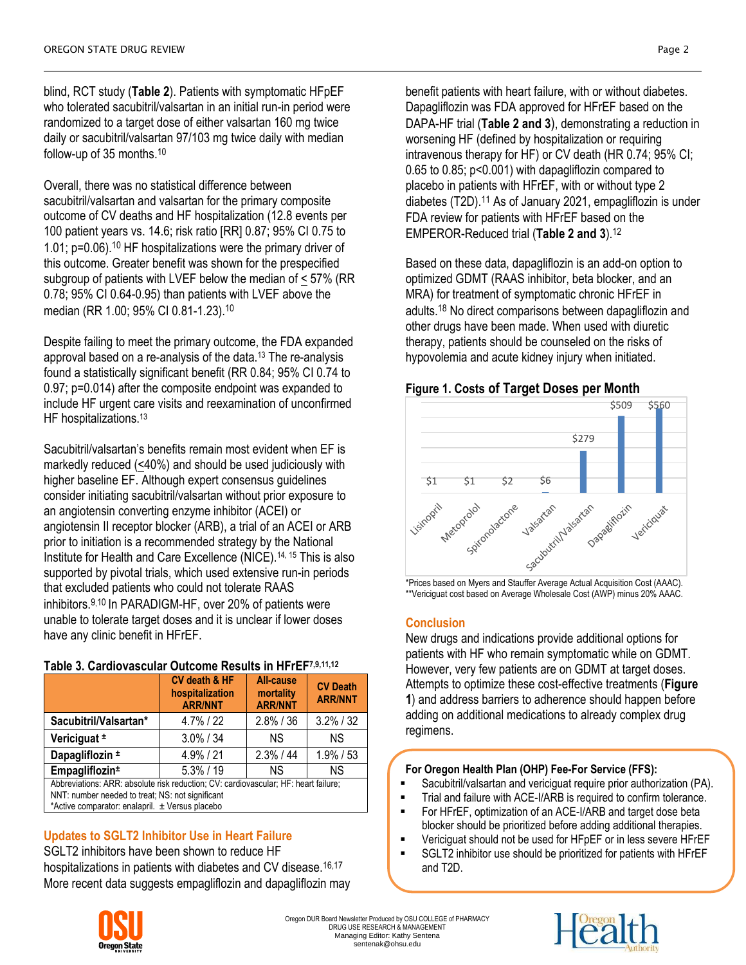blind, RCT study (**Table 2**). Patients with symptomatic HFpEF who tolerated sacubitril/valsartan in an initial run-in period were randomized to a target dose of either valsartan 160 mg twice daily or sacubitril/valsartan 97/103 mg twice daily with median follow-up of 35 months. [10](#page-2-9)

Overall, there was no statistical difference between sacubitril/valsartan and valsartan for the primary composite outcome of CV deaths and HF hospitalization (12.8 events per 100 patient years vs. 14.6; risk ratio [RR] 0.87; 95% CI 0.75 to 1.01; p=0.06).[10](#page-2-9) HF hospitalizations were the primary driver of this outcome. Greater benefit was shown for the prespecified subgroup of patients with LVEF below the median of < 57% (RR 0.78; 95% CI 0.64-0.95) than patients with LVEF above the median (RR 1.00; 95% CI 0.81-1.23).[10](#page-2-9)

Despite failing to meet the primary outcome, the FDA expanded approval based on a re-analysis of the data. [13](#page-2-12) The re-analysis found a statistically significant benefit (RR 0.84; 95% CI 0.74 to 0.97; p=0.014) after the composite endpoint was expanded to include HF urgent care visits and reexamination of unconfirmed HF hospitalizations.<sup>[13](#page-2-12)</sup>

Sacubitril/valsartan's benefits remain most evident when EF is markedly reduced (<40%) and should be used judiciously with higher baseline EF. Although expert consensus guidelines consider initiating sacubitril/valsartan without prior exposure to an angiotensin converting enzyme inhibitor (ACEI) or angiotensin II receptor blocker (ARB), a trial of an ACEI or ARB prior to initiation is a recommended strategy by the National Institute for Health and Care Excellence (NICE).[14,](#page-2-13) [15](#page-2-14) This is also supported by pivotal trials, which used extensive run-in periods that excluded patients who could not tolerate RAAS inhibitors.[9](#page-2-8),[10](#page-2-9) In PARADIGM-HF, over 20% of patients were unable to tolerate target doses and it is unclear if lower doses have any clinic benefit in HFrEF.

# **Table 3. Cardiovascular Outcome Results in HFrEF7,9,11,12**

|                                                                                                                                         | CV death & HF<br>hospitalization<br><b>ARR/NNT</b> | <b>All-cause</b><br>mortality<br><b>ARR/NNT</b> | <b>CV Death</b><br><b>ARR/NNT</b> |  |  |  |
|-----------------------------------------------------------------------------------------------------------------------------------------|----------------------------------------------------|-------------------------------------------------|-----------------------------------|--|--|--|
| Sacubitril/Valsartan*                                                                                                                   | 4.7%/22                                            | $2.8\%$ / 36                                    | $3.2\%$ / 32                      |  |  |  |
| Vericiguat ±                                                                                                                            | $3.0\% / 34$                                       | ΝS                                              | ΝS                                |  |  |  |
| Dapagliflozin ±                                                                                                                         | $4.9\%$ / 21                                       | $2.3\%$ / 44                                    | $1.9\%$ / 53                      |  |  |  |
| Empagliflozin <sup>±</sup>                                                                                                              | $5.3\%$ / 19                                       | ΝS                                              | <b>NS</b>                         |  |  |  |
| Abbreviations: ARR: absolute risk reduction; CV: cardiovascular; HF: heart failure;<br>NNT: number needed to treat; NS: not significant |                                                    |                                                 |                                   |  |  |  |

\*Active comparator: enalapril.  $\pm$  Versus placebo

# **Updates to SGLT2 Inhibitor Use in Heart Failure**

SGLT2 inhibitors have been shown to reduce HF hospitalizations in patients with diabetes and CV disease.<sup>[16](#page-2-15),[17](#page-2-16)</sup> More recent data suggests empagliflozin and dapagliflozin may benefit patients with heart failure, with or without diabetes. Dapagliflozin was FDA approved for HFrEF based on the DAPA-HF trial (**Table 2 and 3**), demonstrating a reduction in worsening HF (defined by hospitalization or requiring intravenous therapy for HF) or CV death (HR 0.74; 95% CI; 0.65 to 0.85; p<0.001) with dapagliflozin compared to placebo in patients with HFrEF, with or without type 2 diabetes (T2D).<sup>[11](#page-2-10)</sup> As of January 2021, empagliflozin is under FDA review for patients with HFrEF based on the EMPEROR-Reduced trial (**Table 2 and 3**).[12](#page-2-11)

Based on these data, dapagliflozin is an add-on option to optimized GDMT (RAAS inhibitor, beta blocker, and an MRA) for treatment of symptomatic chronic HFrEF in adults. [18](#page-2-17) No direct comparisons between dapagliflozin and other drugs have been made. When used with diuretic therapy, patients should be counseled on the risks of hypovolemia and acute kidney injury when initiated.

# **Figure 1. Costs of Target Doses per Month**



\*\*Vericiguat cost based on Average Wholesale Cost (AWP) minus 20% AAAC.

# **Conclusion**

New drugs and indications provide additional options for patients with HF who remain symptomatic while on GDMT. However, very few patients are on GDMT at target doses. Attempts to optimize these cost-effective treatments (**Figure 1**) and address barriers to adherence should happen before adding on additional medications to already complex drug regimens.

## **For Oregon Health Plan (OHP) Fee-For Service (FFS):**

- Sacubitril/valsartan and vericiguat require prior authorization (PA).
- **Trial and failure with ACE-I/ARB is required to confirm tolerance.**
- **FOREF, optimization of an ACE-I/ARB and target dose beta** blocker should be prioritized before adding additional therapies.
- Vericiguat should not be used for HFpEF or in less severe HFrEF
- SGLT2 inhibitor use should be prioritized for patients with HFrEF and T2D.